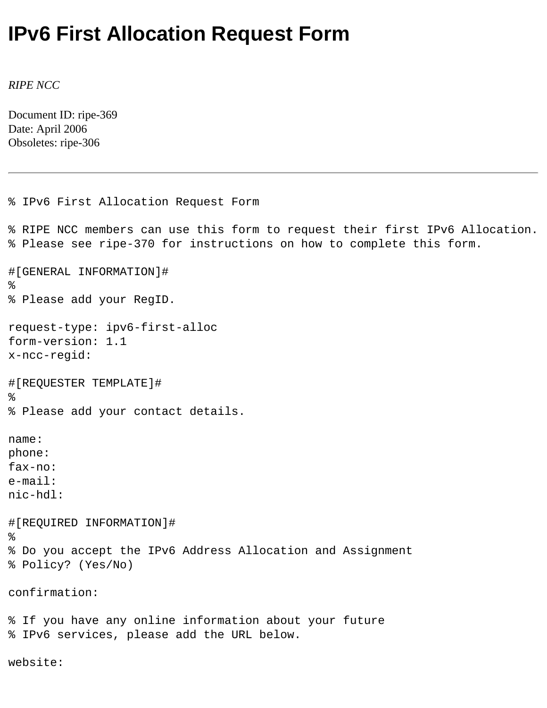## **IPv6 First Allocation Request Form**

*RIPE NCC*

Document ID: ripe-369 Date: April 2006 Obsoletes: ripe-306

```
% IPv6 First Allocation Request Form
% RIPE NCC members can use this form to request their first IPv6 Allocation.
% Please see ripe-370 for instructions on how to complete this form.
#[GENERAL INFORMATION]#
%
% Please add your RegID.
request-type: ipv6-first-alloc
form-version: 1.1
x-ncc-regid: 
#[REQUESTER TEMPLATE]#
%
% Please add your contact details.
name: 
phone: 
fax-no: 
e-mail: 
nic-hdl:
#[REQUIRED INFORMATION]#
%
% Do you accept the IPv6 Address Allocation and Assignment
% Policy? (Yes/No)
confirmation:
% If you have any online information about your future
% IPv6 services, please add the URL below.
```
website: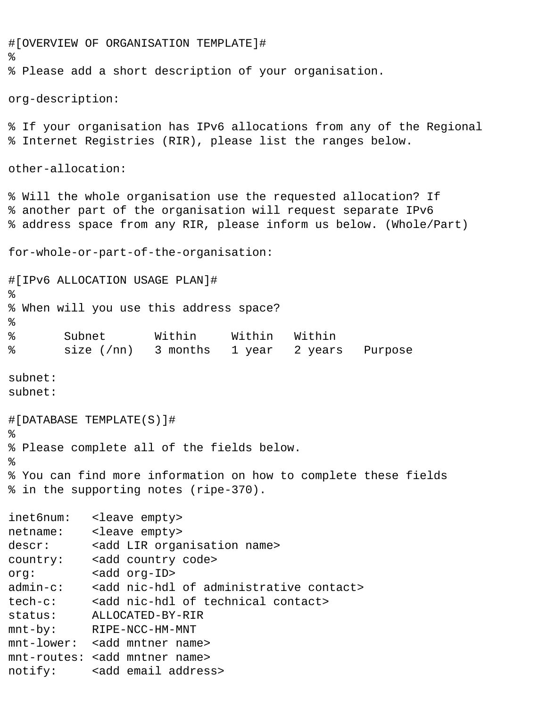```
#[OVERVIEW OF ORGANISATION TEMPLATE]#
%
% Please add a short description of your organisation.
org-description:
% If your organisation has IPv6 allocations from any of the Regional
% Internet Registries (RIR), please list the ranges below.
other-allocation:
% Will the whole organisation use the requested allocation? If
% another part of the organisation will request separate IPv6
% address space from any RIR, please inform us below. (Whole/Part)
for-whole-or-part-of-the-organisation:
#[IPv6 ALLOCATION USAGE PLAN]#
%
% When will you use this address space?
%
% Subnet Within Within Within
% size (/nn) 3 months 1 year 2 years Purpose
subnet:
subnet:
#[DATABASE TEMPLATE(S)]#
%
% Please complete all of the fields below.
% 
% You can find more information on how to complete these fields
% in the supporting notes (ripe-370). 
inet6num: <leave empty>
netname: <leave empty>
descr: <add LIR organisation name>
country: <add country code>
org: <add org-ID>
admin-c: <add nic-hdl of administrative contact>
tech-c: <add nic-hdl of technical contact>
status: ALLOCATED-BY-RIR
mnt-by: RIPE-NCC-HM-MNT 
mnt-lower: <add mntner name>
mnt-routes: <add mntner name>
notify: <add email address>
```